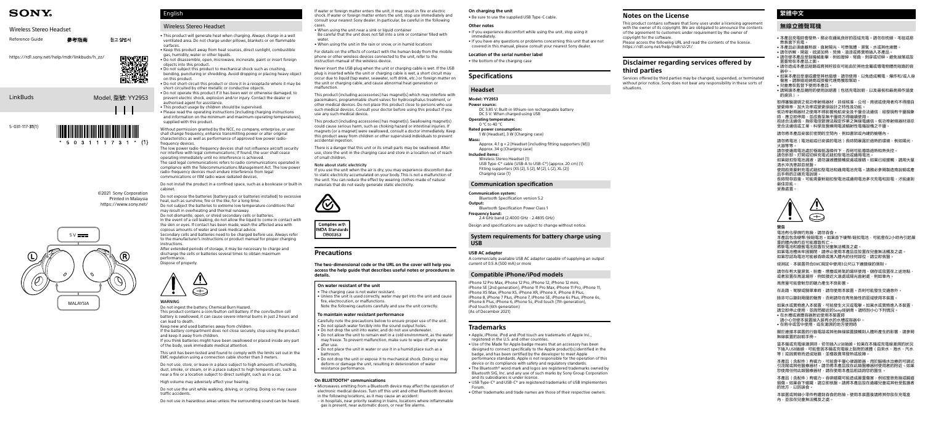LinkBuds

# **SONY.**

## Wireless Stereo Headset

©2021 Sony Corporation Printed in Malaysia <https://www.sony.net/>

| Reference Guide | 參考指南 | 참고 설명서 |
|-----------------|------|--------|
|                 |      |        |

[https://rd1.sony.net/help/mdr/linkbuds/h\\_zz/](https://rd1.sony.net/help/mdr/linkbuds/h_zz/)

Model, 型號: YY2953



 $*$  503111731  $*$  (1)



If water or foreign matter enters the unit, it may result in fire or electric shock. If water or foreign matter enters the unit, stop use immediately and consult your nearest Sony dealer. In particular, be careful in the following

- cases. • When using the unit near a sink or liquid container Be careful that the unit does not fall into a sink or container filled with
- water. When using the unit in the rain or snow, or in humid locations
- 

For details on the effects of contact with the human body from the mobile phone or other wireless devices connected to the unit, refer to the instruction manual of the wireless device.

Never insert the USB plug when the unit or charging cable is wet. If the USB plug is inserted while the unit or charging cable is wet, a short circuit may occur due to liquid (tap water, seawater, soft drink, etc.) or foreign matter on the unit or charging cable, and cause abnormal heat generation or malfunction.

This product (including accessories) has magnet(s) which may interfere with pacemakers, programmable shunt valves for hydrocephalus treatment, or other medical devices. Do not place this product close to persons who use such medical devices. Consult your doctor before using this product if you use any such medical device.

This product (including accessories) has magnet(s). Swallowing magnet(s) could cause serious harm, such as choking hazard or intestinal injuries. If magnets (or a magnet) were swallowed, consult a doctor immediately. Keep this product away from children or other supervised individuals to prevent accidental ingestion.

There is a danger that this unit or its small parts may be swallowed. After use, store the unit in the charging case and store in a location out of reach of small children.

### Note about static electricity

 $0 \degree$ C to 40  $\degree$ C **Rated power consumption:**

If you use the unit when the air is dry, you may experience discomfort due to static electricity accumulated on your body. This is not a malfunction of the unit. You can reduce the effect by wearing clothes made of natural materials that do not easily generate static electricity.



Complies with **IMDA** Standards DB00353

Approx. 4.1  $q \times 2$  (Headset (including fitting supporters (M))) Approx. 34 g (Charging case)

## **Precautions**

**The two-dimensional code or the URL on the cover will help you access the help guide that describes useful notes or procedures in details.**

### **On water resistant of the unit**

- The charging case is not water resistant.
- Unless the unit is used correctly, water may get into the unit and cause fire, electrocution, or malfunctions.
- Note the following cautions carefully and use the unit correctly.

### **To maintain water resistant performance**

- Carefully note the precautions below to ensure proper use of the unit.
- Do not splash water forcibly into the sound output holes.
- Do not drop the unit into water, and do not use underwater. • Do not allow the unit to remain wet in a cold environment, as the water
- may freeze. To prevent malfunction, make sure to wipe off any water
- after use. • Do not place the unit in water or use it in a humid place such as a bathroom.
- Do not drop the unit or expose it to mechanical shock. Doing so may deform or damage the unit, resulting in deterioration of water resistance performance.

### **On BLUETOOTH® communications**

- Microwaves emitting from a Bluetooth device may affect the operation of electronic medical devices. Turn off this unit and other Bluetooth devices in the following locations, as it may cause an accident:
- in hospitals, near priority seating in trains, locations where inflammable gas is present, near automatic doors, or near fire alarms.

### **On charging the unit**

• Be sure to use the supplied USB Type-C cable.

### **Other notes**

• If you experience discomfort while using the unit, stop using it

immediately. • If you have any questions or problems concerning this unit that are not covered in this manual, please consult your nearest Sony dealer.

### **Location of the serial number label**

• the bottom of the charging case

## **Specifications**

## **Headset**

**Model: YY2953 Power source:** DC 3.85 V: Built-in lithium-ion rechargeable battery DC 5 V: When charged using USB

**Operating temperature:**

1 W (Headset), 3 W (Charging case) **Mass:**

## **Included items:**

Wireless Stereo Headset (1) USB Type-C® cable (USB-A to USB-C®) (approx. 20 cm) (1) Fitting supporters (XS (2), S (2), M (2), L (2), XL (2)) Charging case (1)

Keep new and used batteries away from children. If the battery compartment does not close securely, stop using the product

### **Communication specification**

### **Communication system:**

Bluetooth Specification version 5.2 **Output:**

Bluetooth Specification Power Class 1

**Frequency band:** 2.4 GHz band (2.4000 GHz - 2.4835 GHz)

Design and specifications are subject to change without notice.

## **System requirements for battery charge using USB**

### **USB AC adaptor**

A commercially available USB AC adaptor capable of supplying an output current of 0.5 A (500 mA) or more

### **Compatible iPhone/iPod models**

iPhone 12 Pro Max, iPhone 12 Pro, iPhone 12, iPhone 12 mini, iPhone SE (2nd generation), iPhone 11 Pro Max, iPhone 11 Pro, iPhone 11, iPhone XS Max, iPhone XS, iPhone XR, iPhone X, iPhone 8 Plus, iPhone 8, iPhone 7 Plus, iPhone 7, iPhone SE, iPhone 6s Plus, iPhone 6s, iPhone 6 Plus, iPhone 6, iPhone 5s, iPod touch (7th generation), iPod touch (6th generation) (As of December 2021)

長時間存放後,可能需要對鈕扣型電池或通用電池多次充電和放電,才能達到 最佳效能。

## **Trademarks**

如果電池槽未牢固關閉,請停止使用本產品並放置在兒童無法觸及之處。 如果您認為電池可能被吞嚥或落入體內的任何部位,請立即就醫。

請勿在有大量濕氣、粉塵、煙塵或蒸氣的場所使用、儲存或放置在上述地點, 或者放置在高溫場所,例如接近火源處或陽光直射處,例如車內。

如果水或異物進入本裝置,可能發生火災或電擊。如果水或異物進入本裝置 請立即停止使用,並詢問鄰近的Sony經銷商。請特別小心下列情況。

- 請小心勿使本裝置掉入裝有水的水槽或容器中。
- 在雨中或雪中使用,或在潮濕的地方使用時

- Apple, iPhone, iPod and iPod touch are trademarks of Apple Inc., registered in the U.S. and other countries.
- Use of the Made for Apple badge means that an accessory has been designed to connect specifically to the Apple product(s) identified in the badge, and has been certified by the developer to meet Apple performance standards. Apple is not responsible for the operation of this device or its compliance with safety and regulatory standards.
- The Bluetooth® word mark and logos are registered trademarks owned by Bluetooth SIG, Inc. and any use of such marks by Sony Group Corporation and its subsidiaries is under license.
- USB Type-C® and USB-C® are registered trademarks of USB Implementers Forum.
- Other trademarks and trade names are those of their respective owners.

# English

## Wireless Stereo Headset

• This product will generate heat when charging. Always charge in a well ventilated area. Do not charge under pillows, blankets or on flammable surfaces. • Keep this product away from heat sources, direct sunlight, combustible

gas, humidity, water or other liquids. • Do not disassemble, open, microwave, incinerate, paint or insert foreign

- objects into this product. • Do not subject this product to mechanical shock such as crushing,
- bending, puncturing or shredding. Avoid dropping or placing heavy object on this product.
- Do not short-circuit this product or store it in a receptacle where it may be short-circuited by other metallic or conductive objects. • Do not operate this product if it has been wet or otherwise damaged, to
- prevent electric shock, explosion and/or injury. Contact the dealer or authorised agent for assistance. • This product usage by children should be supervised.
- Please read the operating instructions (including charging instructions and information on the minimum and maximum operating temperatures), supplied with this product.

Without permission granted by the NCC, no company, enterprise, or user shall change frequency, enhance transmitting power or alter original characteristics as well as performance of approved low power radiofrequency devices.

The low power radio-frequency devices shall not influence aircraft security nor interfere with legal communications; If found, the user shall cease operating immediately until no interference is achieved. The said legal communications refers to radio communications operated in compliance with the Telecommunications Management Act. The low power radio-frequency devices must endure interference from legal communications or ISM radio wave radiated devices.

Do not install the product in a confined space, such as a bookcase or built-in cabinet.

Do not expose the batteries (battery pack or batteries installed) to excessive heat, such as sunshine, fire or the like, for a long time. Do not subject the batteries to extreme low temperature conditions that

may result in overheating and thermal runaway. Do not dismantle, open, or shred secondary cells or batteries. In the event of a cell leaking, do not allow the liquid to come in contact with the skin or eyes. If contact has been made, wash the affected area with copious amounts of water and seek medical advice.

Secondary cells and batteries need to be charged before use. Always refer to the manufacturer's instructions or product manual for proper charging instructions.

After extended periods of storage, it may be necessary to charge and discharge the cells or batteries several times to obtain maximum performance. Dispose of properly.



## WARNING

Do not ingest the battery, Chemical Burn Hazard. This product contains a coin/button cell battery. If the coin/button cell battery is swallowed, it can cause severe internal burns in just 2 hours and can lead to death.

and keep it away from children. If you think batteries might have been swallowed or placed inside any part

of the body, seek immediate medical attention.

This unit has been tested and found to comply with the limits set out in the EMC regulation using a connection cable shorter than 3 meters.

Do not use, store, or leave in a place subject to high amounts of humidity, dust, smoke, or steam, or in a place subject to high temperatures, such as near a fire or a location subject to direct sunlight, such as in a car.

High volume may adversely affect your hearing.

Do not use the unit while walking, driving, or cycling. Doing so may cause traffic accidents.

Do not use in hazardous areas unless the surrounding sound can be heard.

## **繁體中文**

## **無線立體聲耳機**

- 本產品充電時會發熱。務必在通風良好的區域充電。請勿在枕頭、毛毯或易 燃表面下充電。
- 本產品必須遠離熱源、直射陽光、可燃氣體、濕氣、水或其他液體。
- 請勿拆解、開啟、微波加熱、焚燒、油漆或將異物插入本產品。 • 請勿使本產品受到機械衝擊,例如壓碎、彎曲、刺穿或切碎。避免掉落或放 置重物在本產品上面。
- 請勿造成本產品短路或將其貯放在可能由於其他金屬或導電物體而短路的容
- ■器中。<br>• 如果本產品受潮或遭受其他損壞,請勿使用,以免造成觸電、爆炸和∕或<mark>人</mark>身 傷害。請聯絡經銷商或授權代理商獲取幫助。
- 兒童應在監督下使用本產品。
- 請閱讀本產品隨附的使用說明書(包括充電說明,以及最低和最高操作溫度 的資訊)。

取得審驗證明之低功率射頻器材,非經核准,公司、商號或使用者均不得擅自 **。<br>※更頻率、加大功率或變更原設計之特性及功能。** 

低功率射頻器材之使用不得影響飛航安全及干擾合法通信;經發現有干擾現象 時,應立即停用,並改善至無干擾時方得繼續使用。

前述合法通信,指依電信管理法規定作業之無線電通信。低功率射頻器材須忍 受合法通信或工業、科學及醫療用電波輻射性電機設備之干擾。

請勿將本產品安裝於密閉的空間內,例如書架或內建的櫥櫃內。

請勿將電池(電池組或已安裝的電池)長時間暴露於過熱的環境,例如陽光、 火源等等。

請勿使通用電池處於極端低溫條件下,否則可能導致過熱和熱失控。

請勿拆卸、打開或切碎充電式鈕扣型電池或通用電池。

如果鈕扣型電池漏液,請勿讓液體接觸皮膚或眼睛。如果已經接觸,請用大量 清水沖洗患部並就醫。

使用前需要對充電式鈕扣型電池和通用電池充電。請務必參閱製造商說明或產 品手冊的正確充電說明。

妥善處置。



### **警告**

電池有化學燒灼危險,請勿吞食。

本產品包含硬幣/按鈕電池。如果吞下硬幣/鈕扣電池,可能會在2小時內引起嚴 重的體內燒灼並可能導致死亡。

將新電池和廢舊電池放置在兒童無法觸及之處。

經測試,本裝置符合EMC規定中使用3公尺以下連接線的限制。

高音量可能會對您的聽力產生不良影響。

在走路、駕駛或騎單車時,請勿使用本裝置。否則可能發生交通意外。

除非可以聽到周圍的聲音,否則請勿在有危險性的區域使用本裝置。

• 在水槽或液體容器附近使用本裝置時

關於連接本裝置的行動電話或其他無線裝置接觸到人體所產生的影響,請參閱 無線裝置的說明手冊。

當本機或充電線潮濕時,切勿插入USB插頭。如果在本機或充電線潮濕的狀況 下插入USB插頭,可能會因本機或充電線上黏附的液體(自來水、海水、汽水 等)或因異物而造成短路,並導致異常發熱或故障。

本產品(含配件)有磁力,可能會干擾心律調節器、用於腦積水治療的可調式<br>引流閥或其他醫療器材。請勿將本產品放在此類醫療器材使用者的附近。如果 您使用任何此類醫療器材,請在使用本產品前諮詢您的醫生。

本產品(含配件)有磁力。吞嚥磁鐵可能造成嚴重傷害,例如窒息危險或腸道 損傷。如果吞下磁鐵,請立即就醫。請將本產品放在遠離兒童或其他受監護者 的地方,以防誤食。

本裝置或其細小零件有遭到吞食的危險。使用本裝置後請將其存放在充電盒 內,並放在兒童無法觸及之處。

## **Notes on the License**

This product contains software that Sony uses under a licensing agreement with the owner of its copyright. We are obligated to announce the contents of the agreement to customers under requirement by the owner of copyright for the software.

Please access the following URL and read the contents of the license. <https://rd1.sony.net/help/mdr/sl/21/>

## **Disclaimer regarding services offered by third parties**

Services offered by third parties may be changed, suspended, or terminated without prior notice. Sony does not bear any responsibility in these sorts of

situations.